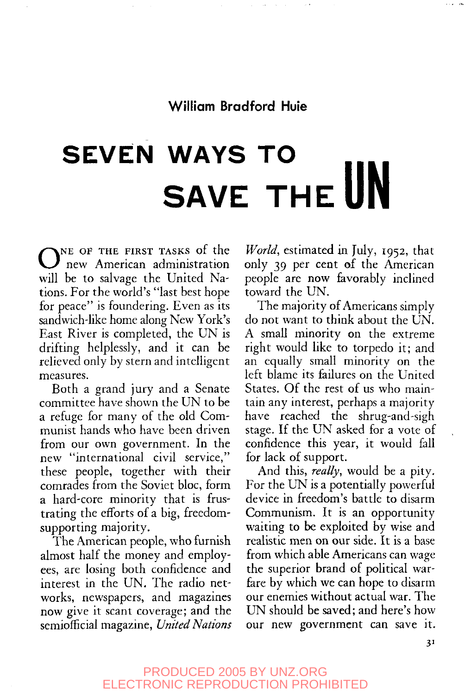# **SEVEN WAYS TO SAVE THE UN**

ONE OF THE FIRST TASKS of the new American administration will be to salvage the United Nations. For the world's "last best hope for peace" is foundering. Even as its sandwich-like home along New York's East River is completed, the UN is drifting helplessly, and it can be relieved only by stern and intelligent measures.

Both a grand jury and a Senate committee have shown the UN to be a refuge for many of the old Communist hands who have been driven from our own government. In the new "international civil service," these people, together with their comrades from the Soviet bloc, form a hard-core minority that is frustrating the efforts of a big, freedomsupporting majority.

The American people, who furnish almost half the money and employees, are losing both confidence and interest in the UN. The radio networks, newspapers, and magazines now give it scant coverage; and the semiofficial magazine, *United Nations*

*World,* estimated in July, 1952, that only 39 per cent of the American people are now favorably inclined toward the UN.

The majority of Americans simply do not want to think about the UN. A small minority on the extreme right would like to torpedo it; and an equally small minority on the left blame its failures on the United States. Of the rest of us who maintain any interest, perhaps a majority have reached the shrug-and-sigh stage. If the UN asked for a vote of confidence this year, it would fall for lack of support.

And this, *really,* would be a pity. For the UN is a potentially powerful device in freedom's battle to disarm Communism. It is an opportunity waiting to be exploited by wise and realistic men on our side. It is a base from which able Americans can wage the superior brand of political warfare by which we can hope to disarm our enemies without actual war. The UN should be saved; and here's how our new government can save it.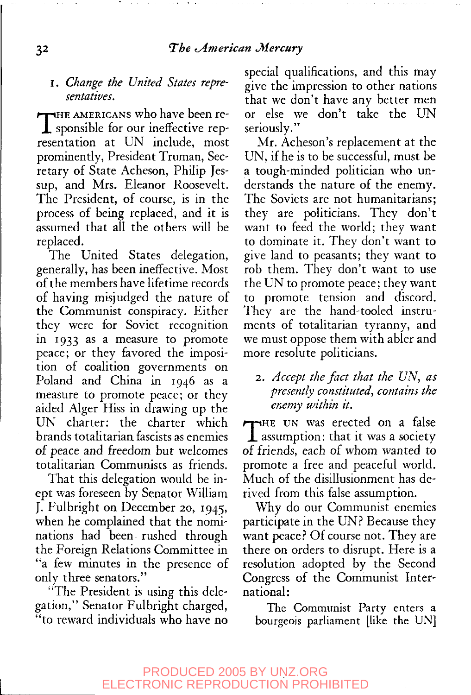#### I. *Change the United States representatives.*

THE AMERICANS who have been re-<br>sponsible for our ineffective repsponsible for our ineffective representation at UN include, most prominently, President Truman, Secretary of State Acheson, Philip Jessup, and Mrs. Eleanor Roosevelt. The President, of course, is in the process of being replaced, and it is assumed that all the others will be replaced.

The United States delegation, generally, has been ineffective. Most of the members have lifetime records of having misjudged the nature of the Communist conspiracy. Either they were for Soviet recognition in 1933 as a measure to promote peace; or they favored the imposition of coalition governments on Poland and China in 1946 as a measure to promote peace; or they aided Alger Hiss in drawing up the UN charter: the charter which brands totalitarian fascists as enemies of peace and freedom but welcomes totalitarian Communists as friends.

That this delegation would be inept was foreseen by Senator William J. Fulbright on December 20, 1945, when he complained that the nominations had been rushed through the Foreign Relations Committee in "a few minutes in the presence of only three senators."

"The President is using this delegation," Senator Fulbright charged, "to reward individuals who have no special qualifications, and this may give the impression to other nations that we don't have any better men or else we don't take the UN seriously."

Mr. Acheson's replacement at the UN, if he is to be successful, must be a tough-minded politician who understands the nature of the enemy. The Soviets are not humanitarians; they are politicians. They don't want to feed the world; they want to dominate it. They don't want to give land to peasants; they want to rob them. They don't want to use the UN to promote peace; they want to promote tension and discord. They are the hand-tooled instruments of totalitarian tyranny, and we must oppose them with abler and more resolute politicians.

# 2. Accept the fact that the UN, as *presently constituted, contains the enemy within it.*

THE UN was erected on a false<br>assumption: that it was a society  $\perp$  assumption: that it was a society of friends, each of whom wanted to promote a free and peaceful world. Much of the disillusionment has derived from this false assumption.

Why do our Communist enemies participate in the UN? Because they want peace? Of course not. They are there on orders to disrupt. Here is a resolution adopted by the Second Congress of the Communist International:

The Communist Party enters a bourgeois parliament [like the UN]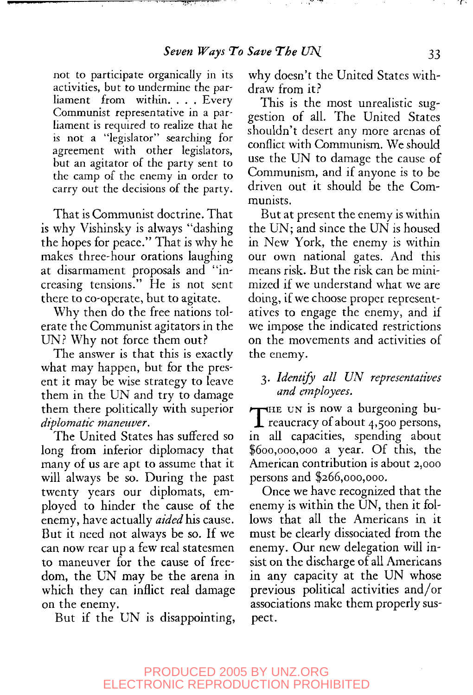not to participate organically in its activities, but to undermine the parliament from within.... Every Communist representative in a parliament is required to realize that he is not a "legislator" searching for agreement with other legislators, but an agitator of the party sent to the camp of the enemy in order to carry out the decisions of the party.

سيبد

That is Communist doctrine. That is why Vishinsky is always "dashing the hopes for peace." That is why he makes three-hour orations laughing at disarmament proposals and "increasing tensions." He is not sent there to co-operate, but to agitate.

Why then do the free nations tolerate the Communist agitators in the UN? Why not force them out?

The answer is that this is exactly what may happen, but for the present it may be wise strategy to leave them in the UN and try to damage them there politically with superior *diplomatic maneuver.*

The United States has suffered so long from inferior diplomacy that many of us are apt to assume that it will always be so. During the past twenty years our diplomats, employed to hinder the cause of the enemy, have actually *aided his* cause. But it need not always be so. If we can now rear up a few real statesmen to maneuver for the cause of freedom, the UN may be the arena in which they can inflict real damage on the enemy.

But if the UN is disappointing,

why doesn't the United States withdraw from it?

This is the most unrealistic suggestion of all. The United States shouldn't desert any more arenas of conflict with Communism. We should use the UN to damage the cause of Communism, and if anyone is to be driven out it should be the Communists.

But at present the enemy is within the UN; and since the UN is housed in New York, the enemy is within our own national gates. And this means risk. But the risk can be minimized if we understand what we are doing, if we choose proper representatives to engage the enemy, and if we impose the indicated restrictions on the movements and activities of the enemy.

# 3. *Identify all UN representatives and employees.*

THE UN is now a burgeoning bu-<br>reaucracy of about  $4,500$  persons,<br>in all personing appearing about  $\tau$ HE UN is now a burgeoning buin all capacities, spending about \$600,000,000 a year. Of this, the American contribution is about 2,000 persons and \$266,000,000.

Once we have recognized that the enemy is within the UN, then it follows that all the Americans in it must be clearly dissociated from the enemy. Our new delegation will insist on the discharge of all Americans in any capacity at the UN whose previous political activities and/or associations make them properly suspect.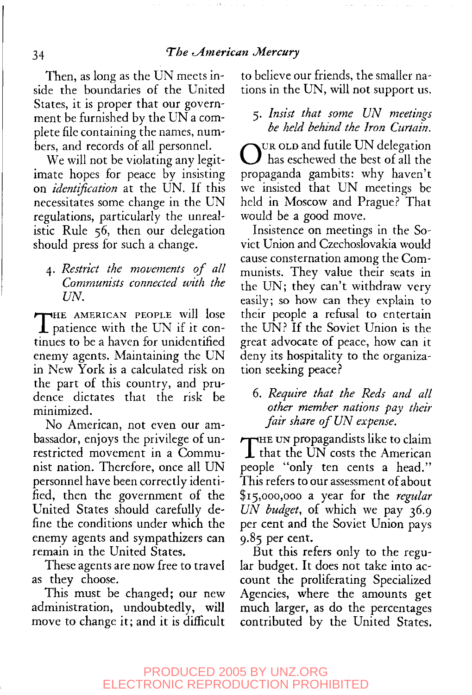Then, as long as the UN meets inside the boundaries of the United States, it is proper that our government be furnished by the UN a complete file containing the names, numbers, and records of all personnel.

We will not be violating any legitimate hopes for peace by insisting on *identification* at the UN. If this necessitates some change in the UN regulations, particularly the unrealistic Rule 56, then our delegation should press for such a change.

4. *Restrict the movements of all Communists connected with the UN.*

THE AMERICAN PEOPLE will lose patience with the UN if it continues to be a haven for unidentified enemy agents. Maintaining the UN in New York is a calculated risk on the part of this country, and prudence dictates that the risk be minimized.

No American, not even our ambassador, enjoys the privilege of unrestricted movement in a Communist nation. Therefore, once all UN personnel have been correctly identified, then the government of the United States should carefully define the conditions under which the enemy agents and sympathizers can remain in the United States.

These agents are now free to travel as they choose.

This must be changed; our new administration, undoubtedly, will move to change it; and it is difficult

to believe our friends, the smaller nations in the UN, will not support us.

# 5. *Insist that some UN meetings be held behind the Iron Curtain.*

OUR OLD and futile UN delegation UR OLD and futile UN delegation propaganda gambits: why haven't we insisted that UN meetings be held in Moscow and Prague? That would be a good move.

Insistence on meetings in the Soviet Union and Czechoslovakia would cause consternation among the Communists. They value their seats in the UN; they can't withdraw very easily; so how can they explain to their people a refusal to entertain the UN? If the Soviet Union is the great advocate of peace, how can it deny its hospitality to the organization seeking peace?

# 6. *Require that the Reds and all other member nations pay their fair share of UN expense.*

THE UN propagandists like to claim<br>that the UN costs the American<br>and the line to contain the line  $\perp$  that the UN costs the American people "only ten cents a head." This refers to our assessment of about \$15,000,000 a year for the *regular UN budget,* of which we pay 36.9 per cent and the Soviet Union pays 9.85 per cent.

But this refers only to the regular budget. It does not take into account the proliferating Specialized Agencies, where the amounts get much larger, as do the percentages contributed by the United States.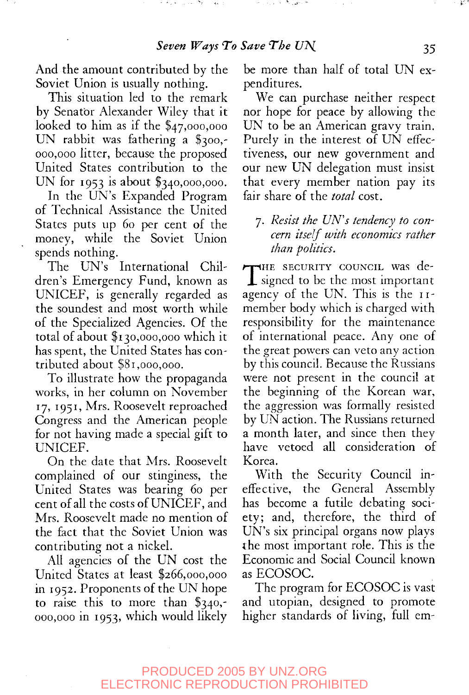$\sigma_{\rm{max}}$  and  $\sigma_{\rm{max}}$ 

in many career (Microsoft)

And the amount contributed by the Soviet Union is usually nothing.

This situation led to the remark by Senator Alexander Wiley that it looked to him as if the \$47,000,000 UN rabbit was fathering a \$300,- 000,000 litter, because the proposed United States contribution to the UN for 1953 is about \$340,000,000.

In the UN's Expanded Program of Technical Assistance the United States puts up 60 per cent of the money, while the Soviet Union spends nothing.

The UN's International Children's Emergency Fund, known as UNICEF, is generally regarded as the soundest and most worth while of the Specialized Agencies. Of the total of about \$130,000,000 which it has spent, the United States has contributed about \$81,000,000.

To illustrate how the propaganda works, in her column on November 17, 1951, Mrs. Roosevelt reproached Congress and the American people for not having made a special gift to UNICEF.

On the date that Mrs. Roosevelt complained of our stinginess, the United States was bearing 60 per cent of all the costs of UNICEF, and Mrs. Roosevelt made no mention of the fact that the Soviet Union was contributing not a nickel.

All agencies of the UN cost the United States at least \$266,000,000 in 1952. Proponents of the UN hope to raise this to more than \$340,- 000,000 in 1953, which would likely be more than half of total UN expenditures.

We can purchase neither respect nor hope for peace by allowing the UN to be an American gravy train. Purely in the interest of UN effectiveness, our new government and our new UN delegation must insist that every member nation pay its fair share of the *total* cost.

7. *Resist the UN's tendency to concern itself with economics rather than politics.*

THE SECURITY COUNCIL Was de-<br>signed to be the most important  $\perp$  signed to be the most important agency of the UN. This is the 11 member body which is charged with responsibility for the maintenance of international peace. Any one of the great powers can veto any action by this council. Because the Russians were not present in the council at the beginning of the Korean war, the aggression was formally resisted by UN action. The Russians returned a month later, and since then they have vetoed all consideration of Korea.

With the Security Council ineffective, the General Assembly has become a futile debating society; and, therefore, the third of UN's six principal organs now plays the most important role. This is the Economic and Social Council known as ECOSOC.

The program for ECOSOC is vast and utopian, designed to promote higher standards of living, full em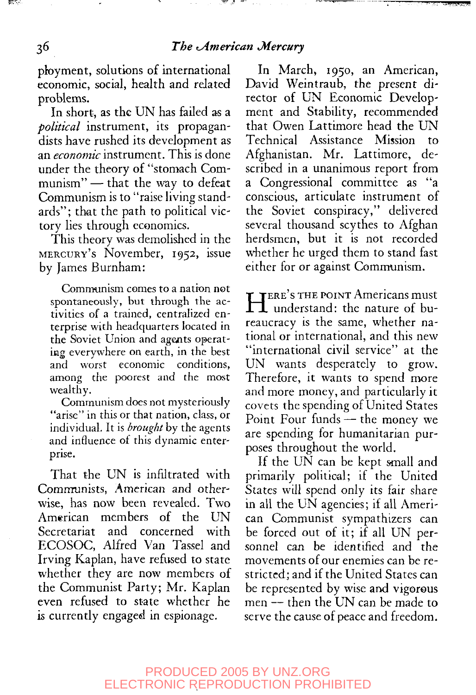phoyment, solutions of international economic, social, health and related problems.

In short, as the UN has failed as a *political* instrument, its propagandists have rushed its development as an *economic* instrument. This is done under the theory of "stomach Communism" — that the way to defeat Communism is to "raise living standards"; that the path to political victory lies through economics.

This theory was demolished in the MERCURY'S November, 1952, issue by James Burnham:

Communism comes to a nation not spontaneously, but through the activities of a trained, centralized enterprise with headquarters located in the Soviet Union and agents operating everywhere on earth, in the best and worst economic conditions, among the poorest and the most wealthy.

Communism does not mysteriously "arise" in this or that nation, class, or individual. It is *brought* by the agents and influence of this dynamic enterprise.

That the UN is infiltrated with Communists, American and otherwise, has now been revealed. Two American members of the UN Secretariat and concerned with ECOSOC, Alfred Van Tassel and Irving Kaplan, have refused to state whether they are now members of the Communist Party; Mr. Kaplan even refused to state whether he is currently engaged in espionage.

In March, 1950, an American, David Weintraub, the present director of UN Economic Development and Stability, recommended that Owen Lattimore head the UN Technical Assistance Mission to Afghanistan. Mr. Lattimore, described in a unanimous report from a Congressional committee as "a conscious, articulate instrument of the Soviet conspiracy," delivered several thousand scythes to Afghan herdsmen, but it is not recorded whether he urged them to stand fast either for or against Communism.

HERE'S THE POINT Americans must<br>
H understand: the nature of bu-**TERE'S THE POINT Americans must** reaucracy is the same, whether national or international, and this new "international civil service" at the UN wants desperately to grow. Therefore, it wants to spend more and more money, and particularly it covets the spending of United States Point Four funds — the money we are spending for humanitarian purposes throughout the world.

If the UN can be kept small and primarily political; if the United States will spend only its fair share in all the UN agencies; if all American Communist sympathizers can be forced out of it; if all UN personnel can be identified and the movements of our enemies can be restricted; and if the United States can be represented by wise and vigorous men — then the UN can be made to serve the cause of peace and freedom.

**REAL**